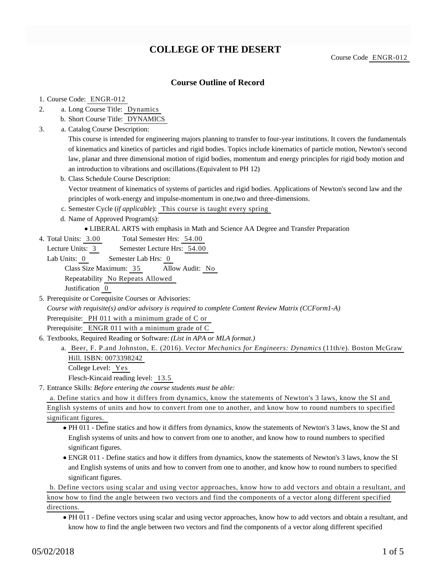# **COLLEGE OF THE DESERT**

## **Course Outline of Record**

- 1. Course Code: ENGR-012
- a. Long Course Title: Dynamics 2.
	- b. Short Course Title: DYNAMICS
- Catalog Course Description: a. 3.

This course is intended for engineering majors planning to transfer to four-year institutions. It covers the fundamentals of kinematics and kinetics of particles and rigid bodies. Topics include kinematics of particle motion, Newton's second law, planar and three dimensional motion of rigid bodies, momentum and energy principles for rigid body motion and an introduction to vibrations and oscillations.(Equivalent to PH 12)

b. Class Schedule Course Description:

Vector treatment of kinematics of systems of particles and rigid bodies. Applications of Newton's second law and the principles of work-energy and impulse-momentum in one,two and three-dimensions.

- c. Semester Cycle (*if applicable*): This course is taught every spring
- d. Name of Approved Program(s):
	- LIBERAL ARTS with emphasis in Math and Science AA Degree and Transfer Preparation
- Total Semester Hrs: 54.00 4. Total Units: 3.00

Lecture Units: 3 Semester Lecture Hrs: 54.00

Lab Units: 0 Semester Lab Hrs: 0 Class Size Maximum: 35 Allow Audit: No Repeatability No Repeats Allowed Justification 0

- 5. Prerequisite or Corequisite Courses or Advisories: *Course with requisite(s) and/or advisory is required to complete Content Review Matrix (CCForm1-A)* Prerequisite: PH 011 with a minimum grade of C or Prerequisite: ENGR 011 with a minimum grade of C
- 6. Textbooks, Required Reading or Software: (List in APA or MLA format.)
	- a. Beer, F. P.and Johnston, E. (2016). *Vector Mechanics for Engineers: Dynamics* (11th/e). Boston McGraw Hill. ISBN: 0073398242

College Level: Yes

Flesch-Kincaid reading level: 13.5

Entrance Skills: *Before entering the course students must be able:* 7.

a. Define statics and how it differs from dynamics, know the statements of Newton's 3 laws, know the SI and English systems of units and how to convert from one to another, and know how to round numbers to specified significant figures.

- PH 011 Define statics and how it differs from dynamics, know the statements of Newton's 3 laws, know the SI and English systems of units and how to convert from one to another, and know how to round numbers to specified significant figures.
- ENGR 011 Define statics and how it differs from dynamics, know the statements of Newton's 3 laws, know the SI and English systems of units and how to convert from one to another, and know how to round numbers to specified significant figures.

b. Define vectors using scalar and using vector approaches, know how to add vectors and obtain a resultant, and know how to find the angle between two vectors and find the components of a vector along different specified directions.

PH 011 - Define vectors using scalar and using vector approaches, know how to add vectors and obtain a resultant, and know how to find the angle between two vectors and find the components of a vector along different specified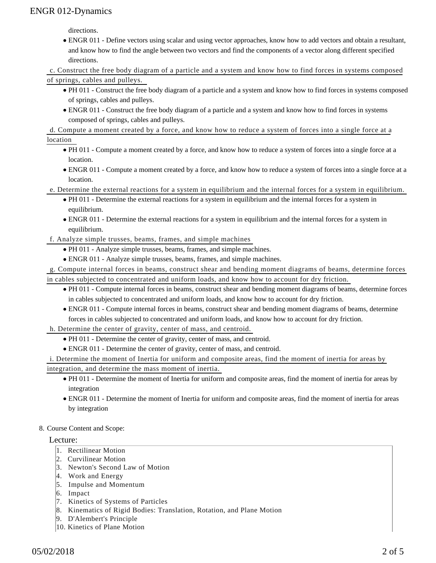directions.

ENGR 011 - Define vectors using scalar and using vector approaches, know how to add vectors and obtain a resultant, and know how to find the angle between two vectors and find the components of a vector along different specified directions.

c. Construct the free body diagram of a particle and a system and know how to find forces in systems composed of springs, cables and pulleys.

- PH 011 Construct the free body diagram of a particle and a system and know how to find forces in systems composed of springs, cables and pulleys.
- ENGR 011 Construct the free body diagram of a particle and a system and know how to find forces in systems composed of springs, cables and pulleys.

d. Compute a moment created by a force, and know how to reduce a system of forces into a single force at a

location

- PH 011 Compute a moment created by a force, and know how to reduce a system of forces into a single force at a location.
- ENGR 011 Compute a moment created by a force, and know how to reduce a system of forces into a single force at a location.
- e. Determine the external reactions for a system in equilibrium and the internal forces for a system in equilibrium.
	- PH 011 Determine the external reactions for a system in equilibrium and the internal forces for a system in equilibrium.
	- ENGR 011 Determine the external reactions for a system in equilibrium and the internal forces for a system in equilibrium.
- f. Analyze simple trusses, beams, frames, and simple machines
	- PH 011 Analyze simple trusses, beams, frames, and simple machines.
	- ENGR 011 Analyze simple trusses, beams, frames, and simple machines.

g. Compute internal forces in beams, construct shear and bending moment diagrams of beams, determine forces in cables subjected to concentrated and uniform loads, and know how to account for dry friction.

- PH 011 Compute internal forces in beams, construct shear and bending moment diagrams of beams, determine forces in cables subjected to concentrated and uniform loads, and know how to account for dry friction.
- ENGR 011 Compute internal forces in beams, construct shear and bending moment diagrams of beams, determine forces in cables subjected to concentrated and uniform loads, and know how to account for dry friction.

h. Determine the center of gravity, center of mass, and centroid.

- PH 011 Determine the center of gravity, center of mass, and centroid.
- ENGR 011 Determine the center of gravity, center of mass, and centroid.

i. Determine the moment of Inertia for uniform and composite areas, find the moment of inertia for areas by integration, and determine the mass moment of inertia.

- PH 011 Determine the moment of Inertia for uniform and composite areas, find the moment of inertia for areas by integration
- ENGR 011 Determine the moment of Inertia for uniform and composite areas, find the moment of inertia for areas by integration

#### 8. Course Content and Scope:

#### Lecture:

- 1. Rectilinear Motion
- 2. Curvilinear Motion
- 3. Newton's Second Law of Motion
- 4. Work and Energy
- 5. Impulse and Momentum
- 6. Impact
- 7. Kinetics of Systems of Particles
- 8. Kinematics of Rigid Bodies: Translation, Rotation, and Plane Motion
- 9. D'Alembert's Principle
- 10. Kinetics of Plane Motion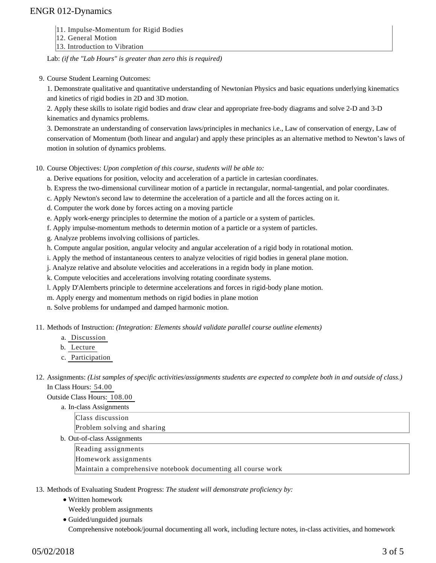- 11. Impulse-Momentum for Rigid Bodies
- 12. General Motion
- 13. Introduction to Vibration

Lab: *(if the "Lab Hours" is greater than zero this is required)*

9. Course Student Learning Outcomes:

1. Demonstrate qualitative and quantitative understanding of Newtonian Physics and basic equations underlying kinematics and kinetics of rigid bodies in 2D and 3D motion.

2. Apply these skills to isolate rigid bodies and draw clear and appropriate free-body diagrams and solve 2-D and 3-D kinematics and dynamics problems.

3. Demonstrate an understanding of conservation laws/principles in mechanics i.e., Law of conservation of energy, Law of conservation of Momentum (both linear and angular) and apply these principles as an alternative method to Newton's laws of motion in solution of dynamics problems.

10. Course Objectives: Upon completion of this course, students will be able to:

a. Derive equations for position, velocity and acceleration of a particle in cartesian coordinates.

b. Express the two-dimensional curvilinear motion of a particle in rectangular, normal-tangential, and polar coordinates.

- c. Apply Newton's second law to determine the acceleration of a particle and all the forces acting on it.
- d. Computer the work done by forces acting on a moving particle
- e. Apply work-energy principles to determine the motion of a particle or a system of particles.
- f. Apply impulse-momentum methods to determin motion of a particle or a system of particles.
- g. Analyze problems involving collisions of particles.

h. Compute angular position, angular velocity and angular acceleration of a rigid body in rotational motion.

i. Apply the method of instantaneous centers to analyze velocities of rigid bodies in general plane motion.

j. Analyze relative and absolute velocities and accelerations in a regidn body in plane motion.

k. Compute velocities and accelerations involving rotating coordinate systems.

l. Apply D'Alemberts principle to determine accelerations and forces in rigid-body plane motion.

m. Apply energy and momentum methods on rigid bodies in plane motion

n. Solve problems for undamped and damped harmonic motion.

11. Methods of Instruction: *(Integration: Elements should validate parallel course outline elements)* 

- a. Discussion
- b. Lecture
- c. Participation

12. Assignments: (List samples of specific activities/assignments students are expected to complete both in and outside of class.) In Class Hours: 54.00

Outside Class Hours: 108.00

a. In-class Assignments Class discussion Problem solving and sharing b. Out-of-class Assignments Reading assignments Homework assignments Maintain a comprehensive notebook documenting all course work

13. Methods of Evaluating Student Progress: The student will demonstrate proficiency by:

- Written homework
- Weekly problem assignments
- Guided/unguided journals Comprehensive notebook/journal documenting all work, including lecture notes, in-class activities, and homework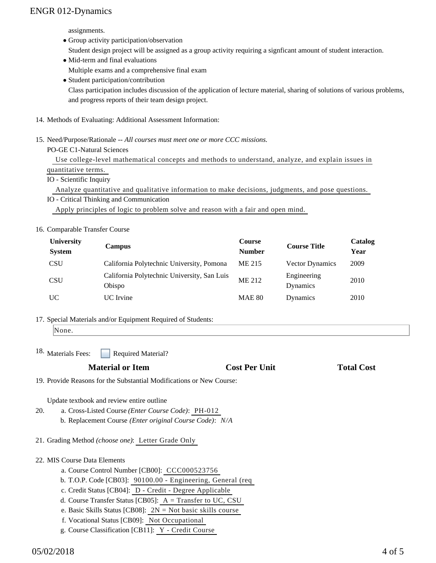assignments.

- Group activity participation/observation Student design project will be assigned as a group activity requiring a signficant amount of student interaction.
- Mid-term and final evaluations Multiple exams and a comprehensive final exam
- Student participation/contribution

Class participation includes discussion of the application of lecture material, sharing of solutions of various problems, and progress reports of their team design project.

- 14. Methods of Evaluating: Additional Assessment Information:
- 15. Need/Purpose/Rationale -- All courses must meet one or more CCC missions.

PO-GE C1-Natural Sciences

 Use college-level mathematical concepts and methods to understand, analyze, and explain issues in quantitative terms.

IO - Scientific Inquiry

Analyze quantitative and qualitative information to make decisions, judgments, and pose questions.

IO - Critical Thinking and Communication Apply principles of logic to problem solve and reason with a fair and open mind.

### 16. Comparable Transfer Course

| <b>University</b><br><b>System</b> | <b>Campus</b>                                         | <b>Course</b><br><b>Number</b> | <b>Course Title</b>     | Catalog<br>Year |
|------------------------------------|-------------------------------------------------------|--------------------------------|-------------------------|-----------------|
| <b>CSU</b>                         | California Polytechnic University, Pomona             | ME 215                         | <b>Vector Dynamics</b>  | 2009            |
| <b>CSU</b>                         | California Polytechnic University, San Luis<br>Obispo | ME 212                         | Engineering<br>Dynamics | 2010            |
| UC                                 | UC Irvine                                             | <b>MAE 80</b>                  | Dynamics                | 2010            |

17. Special Materials and/or Equipment Required of Students:

```
None.
```
Required Material? <sup>18.</sup> Materials Fees:

## **Material or Item Cost Per Unit Total Cost Per Unit Total Cost Per Unit Accord Total Cost Accord Cost Per Unit**

19. Provide Reasons for the Substantial Modifications or New Course:

Update textbook and review entire outline

- a. Cross-Listed Course *(Enter Course Code)*: PH-012 b. Replacement Course *(Enter original Course Code)*: *N/A* 20.
- 21. Grading Method *(choose one)*: Letter Grade Only

### 22. MIS Course Data Elements

- a. Course Control Number [CB00]: CCC000523756
- b. T.O.P. Code [CB03]: 90100.00 Engineering, General (req
- c. Credit Status [CB04]: D Credit Degree Applicable
- d. Course Transfer Status [CB05]: A = Transfer to UC, CSU
- e. Basic Skills Status [CB08]: 2N = Not basic skills course
- f. Vocational Status [CB09]: Not Occupational
- g. Course Classification [CB11]: Y Credit Course